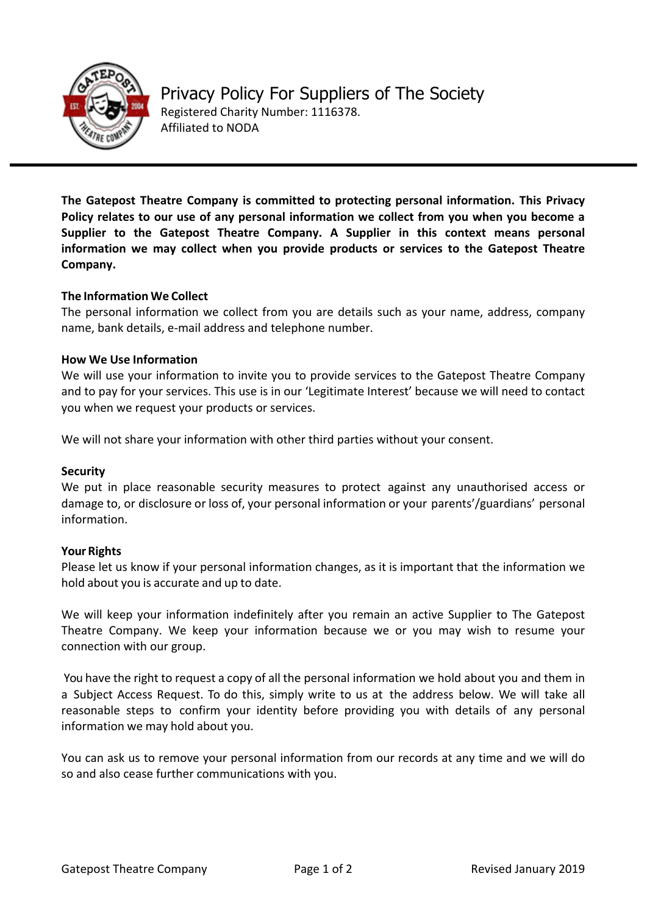

**The Gatepost Theatre Company is committed to protecting personal information. This Privacy**  Policy relates to our use of any personal information we collect from you when you become a Supplier to the Gatepost Theatre Company. A Supplier in this context means personal information we may collect when you provide products or services to the Gatepost Theatre **Company.** 

# **The Information We Collect**

The personal information we collect from you are details such as your name, address, company name, bank details, e-mail address and telephone number.

## **How We Use Information**

We will use your information to invite you to provide services to the Gatepost Theatre Company and to pay for your services. This use is in our 'Legitimate Interest' because we will need to contact you when we request your products or services.

We will not share your information with other third parties without your consent.

#### **Security**

We put in place reasonable security measures to protect against any unauthorised access or damage to, or disclosure or loss of, your personal information or your parents'/guardians' personal information.

## **Your Rights**

Please let us know if your personal information changes, as it is important that the information we hold about you is accurate and up to date.

We will keep your information indefinitely after you remain an active Supplier to The Gatepost Theatre Company. We keep your information because we or you may wish to resume your connection with our group.

You have the right to request a copy of all the personal information we hold about you and them in a Subject Access Request. To do this, simply write to us at the address below. We will take all reasonable steps to confirm your identity before providing you with details of any personal information we may hold about you.

You can ask us to remove your personal information from our records at any time and we will do so and also cease further communications with you.